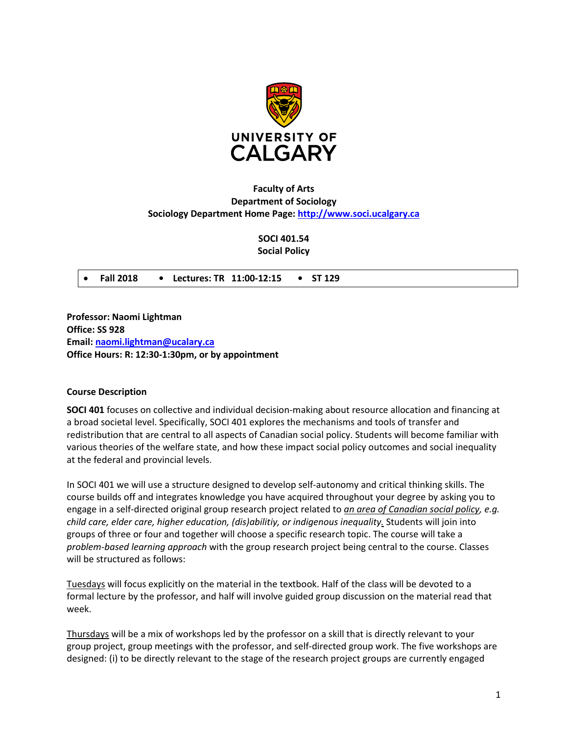

# **Faculty of Arts Department of Sociology Sociology Department Home Page: [http://www.soci.ucalgary.ca](http://www.soci.ucalgary.ca/)**

**SOCI 401.54 Social Policy**

• **Fall 2018 • Lectures: TR 11:00-12:15 • ST 129**

**Professor: Naomi Lightman Office: SS 928 Email: [naomi.lightman@ucalary.ca](mailto:naomi.lightman@ucalary.ca) Office Hours: R: 12:30-1:30pm, or by appointment**

### **Course Description**

**SOCI 401** focuses on collective and individual decision-making about resource allocation and financing at a broad societal level. Specifically, SOCI 401 explores the mechanisms and tools of transfer and redistribution that are central to all aspects of Canadian social policy. Students will become familiar with various theories of the welfare state, and how these impact social policy outcomes and social inequality at the federal and provincial levels.

In SOCI 401 we will use a structure designed to develop self-autonomy and critical thinking skills. The course builds off and integrates knowledge you have acquired throughout your degree by asking you to engage in a self-directed original group research project related to *an area of Canadian social policy, e.g. child care, elder care, higher education, (dis)abilitiy, or indigenous inequality.* Students will join into groups of three or four and together will choose a specific research topic. The course will take a *problem-based learning approach* with the group research project being central to the course. Classes will be structured as follows:

Tuesdays will focus explicitly on the material in the textbook. Half of the class will be devoted to a formal lecture by the professor, and half will involve guided group discussion on the material read that week.

Thursdays will be a mix of workshops led by the professor on a skill that is directly relevant to your group project, group meetings with the professor, and self-directed group work. The five workshops are designed: (i) to be directly relevant to the stage of the research project groups are currently engaged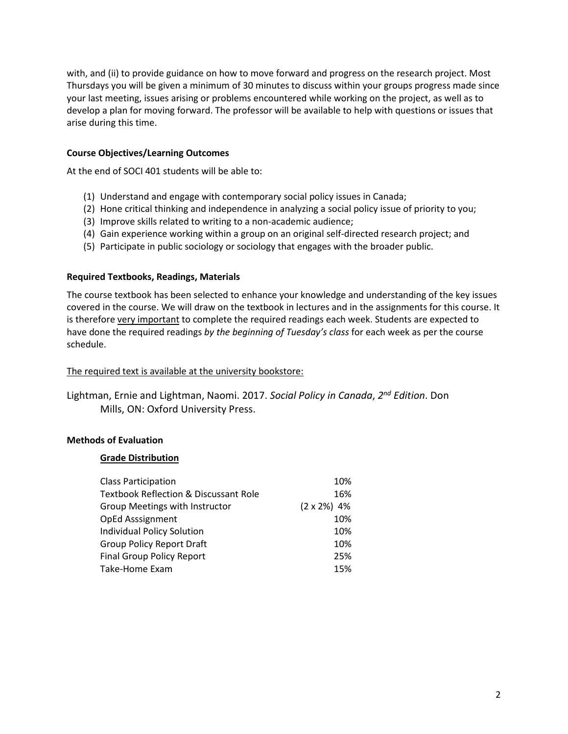with, and (ii) to provide guidance on how to move forward and progress on the research project. Most Thursdays you will be given a minimum of 30 minutes to discuss within your groups progress made since your last meeting, issues arising or problems encountered while working on the project, as well as to develop a plan for moving forward. The professor will be available to help with questions or issues that arise during this time.

### **Course Objectives/Learning Outcomes**

At the end of SOCI 401 students will be able to:

- (1) Understand and engage with contemporary social policy issues in Canada;
- (2) Hone critical thinking and independence in analyzing a social policy issue of priority to you;
- (3) Improve skills related to writing to a non-academic audience;
- (4) Gain experience working within a group on an original self-directed research project; and
- (5) Participate in public sociology or sociology that engages with the broader public.

### **Required Textbooks, Readings, Materials**

The course textbook has been selected to enhance your knowledge and understanding of the key issues covered in the course. We will draw on the textbook in lectures and in the assignments for this course. It is therefore very important to complete the required readings each week. Students are expected to have done the required readings *by the beginning of Tuesday's class* for each week as per the course schedule.

### The required text is available at the university bookstore:

Lightman, Ernie and Lightman, Naomi. 2017. *Social Policy in Canada*, *2nd Edition*. Don Mills, ON: Oxford University Press.

## **Methods of Evaluation**

### **Grade Distribution**

| 10%                 |
|---------------------|
| 16%                 |
| $(2 \times 2\%)$ 4% |
| 10%                 |
| 10%                 |
| 10%                 |
| 25%                 |
| 15%                 |
|                     |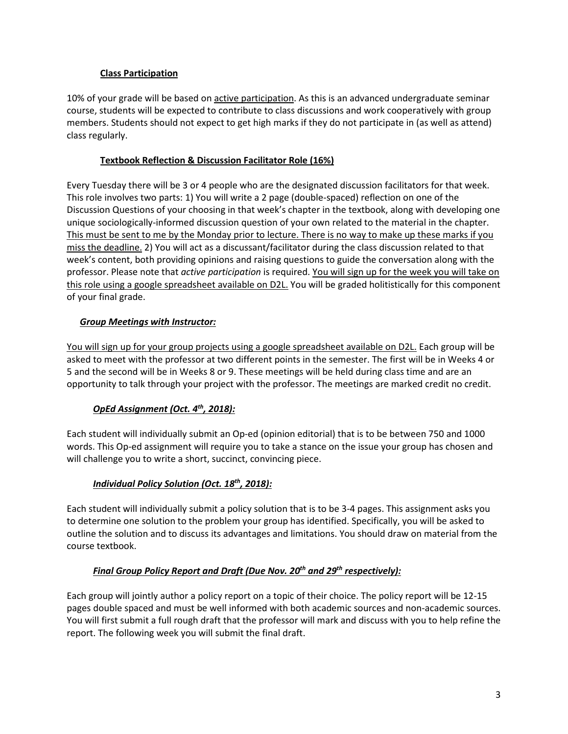## **Class Participation**

10% of your grade will be based on active participation. As this is an advanced undergraduate seminar course, students will be expected to contribute to class discussions and work cooperatively with group members. Students should not expect to get high marks if they do not participate in (as well as attend) class regularly.

## **Textbook Reflection & Discussion Facilitator Role (16%)**

Every Tuesday there will be 3 or 4 people who are the designated discussion facilitators for that week. This role involves two parts: 1) You will write a 2 page (double-spaced) reflection on one of the Discussion Questions of your choosing in that week's chapter in the textbook, along with developing one unique sociologically-informed discussion question of your own related to the material in the chapter. This must be sent to me by the Monday prior to lecture. There is no way to make up these marks if you miss the deadline. 2) You will act as a discussant/facilitator during the class discussion related to that week's content, both providing opinions and raising questions to guide the conversation along with the professor. Please note that *active participation* is required. You will sign up for the week you will take on this role using a google spreadsheet available on D2L. You will be graded holitistically for this component of your final grade.

# *Group Meetings with Instructor:*

You will sign up for your group projects using a google spreadsheet available on D2L. Each group will be asked to meet with the professor at two different points in the semester. The first will be in Weeks 4 or 5 and the second will be in Weeks 8 or 9. These meetings will be held during class time and are an opportunity to talk through your project with the professor. The meetings are marked credit no credit.

# *OpEd Assignment (Oct. 4th, 2018):*

Each student will individually submit an Op-ed (opinion editorial) that is to be between 750 and 1000 words. This Op-ed assignment will require you to take a stance on the issue your group has chosen and will challenge you to write a short, succinct, convincing piece.

# *Individual Policy Solution (Oct. 18th, 2018):*

Each student will individually submit a policy solution that is to be 3-4 pages. This assignment asks you to determine one solution to the problem your group has identified. Specifically, you will be asked to outline the solution and to discuss its advantages and limitations. You should draw on material from the course textbook.

# *Final Group Policy Report and Draft (Due Nov. 20th and 29th respectively):*

Each group will jointly author a policy report on a topic of their choice. The policy report will be 12-15 pages double spaced and must be well informed with both academic sources and non-academic sources. You will first submit a full rough draft that the professor will mark and discuss with you to help refine the report. The following week you will submit the final draft.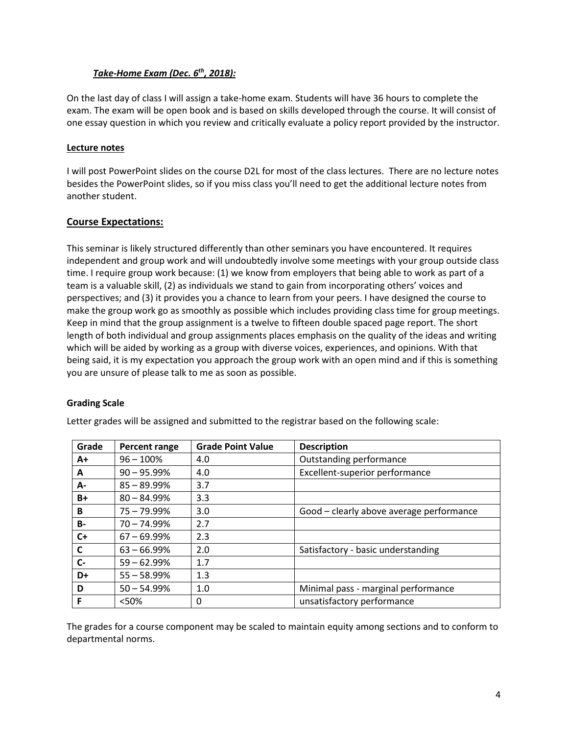## *Take-Home Exam (Dec. 6th, 2018):*

On the last day of class I will assign a take-home exam. Students will have 36 hours to complete the exam. The exam will be open book and is based on skills developed through the course. It will consist of one essay question in which you review and critically evaluate a policy report provided by the instructor.

### **Lecture notes**

I will post PowerPoint slides on the course D2L for most of the class lectures. There are no lecture notes besides the PowerPoint slides, so if you miss class you'll need to get the additional lecture notes from another student.

## **Course Expectations:**

This seminar is likely structured differently than other seminars you have encountered. It requires independent and group work and will undoubtedly involve some meetings with your group outside class time. I require group work because: (1) we know from employers that being able to work as part of a team is a valuable skill, (2) as individuals we stand to gain from incorporating others' voices and perspectives; and (3) it provides you a chance to learn from your peers. I have designed the course to make the group work go as smoothly as possible which includes providing class time for group meetings. Keep in mind that the group assignment is a twelve to fifteen double spaced page report. The short length of both individual and group assignments places emphasis on the quality of the ideas and writing which will be aided by working as a group with diverse voices, experiences, and opinions. With that being said, it is my expectation you approach the group work with an open mind and if this is something you are unsure of please talk to me as soon as possible.

### **Grading Scale**

| Grade     | <b>Percent range</b> | <b>Grade Point Value</b> | <b>Description</b>                       |
|-----------|----------------------|--------------------------|------------------------------------------|
| $A+$      | $96 - 100%$          | 4.0                      | Outstanding performance                  |
| A         | $90 - 95.99\%$       | 4.0                      | Excellent-superior performance           |
| А-        | $85 - 89.99\%$       | 3.7                      |                                          |
| $B+$      | $80 - 84.99\%$       | 3.3                      |                                          |
| B         | 75 - 79.99%          | 3.0                      | Good - clearly above average performance |
| <b>B-</b> | $70 - 74.99\%$       | 2.7                      |                                          |
| $C+$      | $67 - 69.99\%$       | 2.3                      |                                          |
| C         | $63 - 66.99%$        | 2.0                      | Satisfactory - basic understanding       |
| $C -$     | $59 - 62.99\%$       | 1.7                      |                                          |
| D+        | $55 - 58.99%$        | 1.3                      |                                          |
| D         | $50 - 54.99%$        | 1.0                      | Minimal pass - marginal performance      |
| F         | < 50%                | 0                        | unsatisfactory performance               |

Letter grades will be assigned and submitted to the registrar based on the following scale:

The grades for a course component may be scaled to maintain equity among sections and to conform to departmental norms.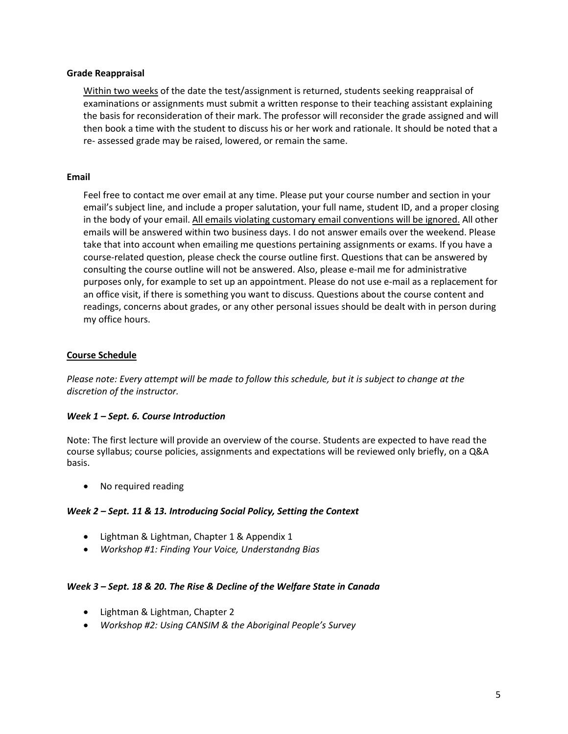#### **Grade Reappraisal**

Within two weeks of the date the test/assignment is returned, students seeking reappraisal of examinations or assignments must submit a written response to their teaching assistant explaining the basis for reconsideration of their mark. The professor will reconsider the grade assigned and will then book a time with the student to discuss his or her work and rationale. It should be noted that a re- assessed grade may be raised, lowered, or remain the same.

#### **Email**

Feel free to contact me over email at any time. Please put your course number and section in your email's subject line, and include a proper salutation, your full name, student ID, and a proper closing in the body of your email. All emails violating customary email conventions will be ignored. All other emails will be answered within two business days. I do not answer emails over the weekend. Please take that into account when emailing me questions pertaining assignments or exams. If you have a course-related question, please check the course outline first. Questions that can be answered by consulting the course outline will not be answered. Also, please e-mail me for administrative purposes only, for example to set up an appointment. Please do not use e-mail as a replacement for an office visit, if there is something you want to discuss. Questions about the course content and readings, concerns about grades, or any other personal issues should be dealt with in person during my office hours.

### **Course Schedule**

*Please note: Every attempt will be made to follow this schedule, but it is subject to change at the discretion of the instructor.*

#### *Week 1 – Sept. 6. Course Introduction*

Note: The first lecture will provide an overview of the course. Students are expected to have read the course syllabus; course policies, assignments and expectations will be reviewed only briefly, on a Q&A basis.

• No required reading

#### *Week 2 – Sept. 11 & 13. Introducing Social Policy, Setting the Context*

- Lightman & Lightman, Chapter 1 & Appendix 1
- *Workshop #1: Finding Your Voice, Understandng Bias*

#### *Week 3 – Sept. 18 & 20. The Rise & Decline of the Welfare State in Canada*

- Lightman & Lightman, Chapter 2
- *Workshop #2: Using CANSIM & the Aboriginal People's Survey*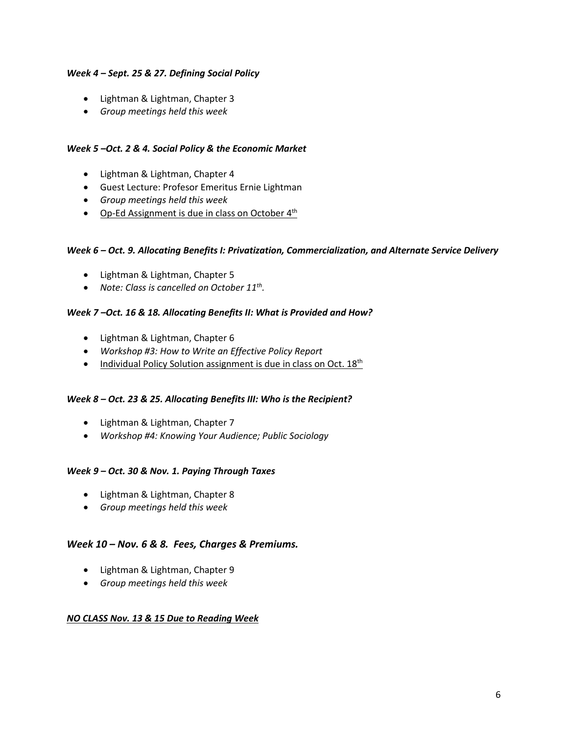### *Week 4 – Sept. 25 & 27. Defining Social Policy*

- Lightman & Lightman, Chapter 3
- *Group meetings held this week*

### *Week 5 –Oct. 2 & 4. Social Policy & the Economic Market*

- Lightman & Lightman, Chapter 4
- Guest Lecture: Profesor Emeritus Ernie Lightman
- *Group meetings held this week*
- Op-Ed Assignment is due in class on October 4<sup>th</sup>

### *Week 6 – Oct. 9. Allocating Benefits I: Privatization, Commercialization, and Alternate Service Delivery*

- Lightman & Lightman, Chapter 5
- *Note: Class is cancelled on October 11th.*

### *Week 7 –Oct. 16 & 18. Allocating Benefits II: What is Provided and How?*

- Lightman & Lightman, Chapter 6
- *Workshop #3: How to Write an Effective Policy Report*
- Individual Policy Solution assignment is due in class on Oct.  $18<sup>th</sup>$

### *Week 8 – Oct. 23 & 25. Allocating Benefits III: Who is the Recipient?*

- Lightman & Lightman, Chapter 7
- *Workshop #4: Knowing Your Audience; Public Sociology*

### *Week 9 – Oct. 30 & Nov. 1. Paying Through Taxes*

- Lightman & Lightman, Chapter 8
- *Group meetings held this week*

### *Week 10 – Nov. 6 & 8. Fees, Charges & Premiums.*

- Lightman & Lightman, Chapter 9
- *Group meetings held this week*

### *NO CLASS Nov. 13 & 15 Due to Reading Week*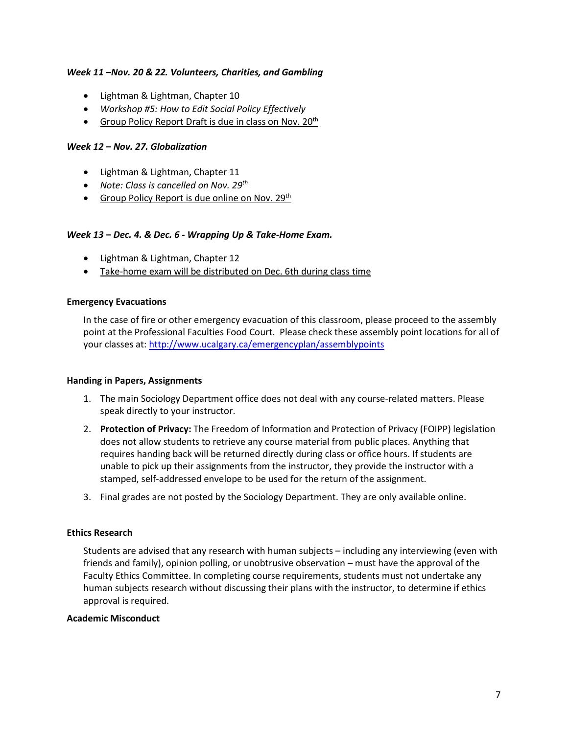#### *Week 11 –Nov. 20 & 22. Volunteers, Charities, and Gambling*

- Lightman & Lightman, Chapter 10
- *Workshop #5: How to Edit Social Policy Effectively*
- Group Policy Report Draft is due in class on Nov.  $20<sup>th</sup>$

### *Week 12 – Nov. 27. Globalization*

- Lightman & Lightman, Chapter 11
- *Note: Class is cancelled on Nov. 29th*
- Group Policy Report is due online on Nov.  $29<sup>th</sup>$

#### *Week 13 – Dec. 4. & Dec. 6 - Wrapping Up & Take-Home Exam.*

- Lightman & Lightman, Chapter 12
- Take-home exam will be distributed on Dec. 6th during class time

#### **Emergency Evacuations**

In the case of fire or other emergency evacuation of this classroom, please proceed to the assembly point at the Professional Faculties Food Court. Please check these assembly point locations for all of your classes at[: http://www.ucalgary.ca/emergencyplan/assemblypoints](http://www.ucalgary.ca/emergencyplan/assemblypoints)

#### **Handing in Papers, Assignments**

- 1. The main Sociology Department office does not deal with any course-related matters. Please speak directly to your instructor.
- 2. **Protection of Privacy:** The Freedom of Information and Protection of Privacy (FOIPP) legislation does not allow students to retrieve any course material from public places. Anything that requires handing back will be returned directly during class or office hours. If students are unable to pick up their assignments from the instructor, they provide the instructor with a stamped, self-addressed envelope to be used for the return of the assignment.
- 3. Final grades are not posted by the Sociology Department. They are only available online.

### **Ethics Research**

Students are advised that any research with human subjects – including any interviewing (even with friends and family), opinion polling, or unobtrusive observation – must have the approval of the Faculty Ethics Committee. In completing course requirements, students must not undertake any human subjects research without discussing their plans with the instructor, to determine if ethics approval is required.

### **Academic Misconduct**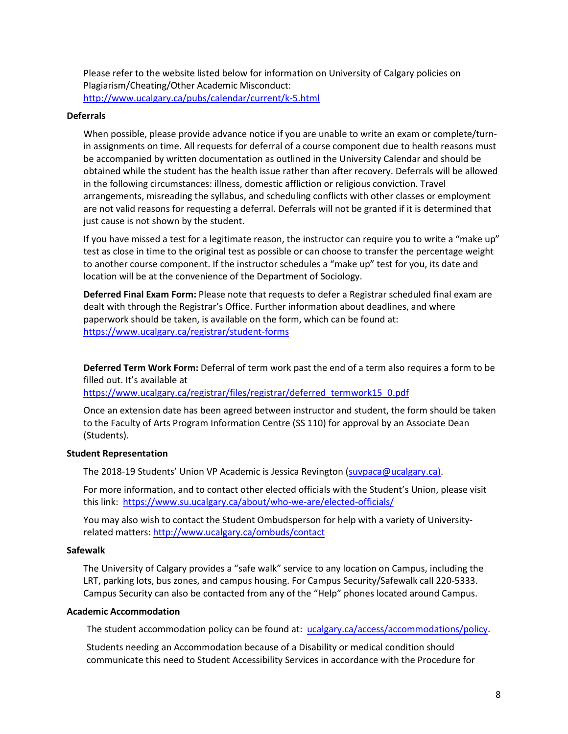Please refer to the website listed below for information on University of Calgary policies on Plagiarism/Cheating/Other Academic Misconduct: <http://www.ucalgary.ca/pubs/calendar/current/k-5.html>

#### **Deferrals**

When possible, please provide advance notice if you are unable to write an exam or complete/turnin assignments on time. All requests for deferral of a course component due to health reasons must be accompanied by written documentation as outlined in the University Calendar and should be obtained while the student has the health issue rather than after recovery. Deferrals will be allowed in the following circumstances: illness, domestic affliction or religious conviction. Travel arrangements, misreading the syllabus, and scheduling conflicts with other classes or employment are not valid reasons for requesting a deferral. Deferrals will not be granted if it is determined that just cause is not shown by the student.

If you have missed a test for a legitimate reason, the instructor can require you to write a "make up" test as close in time to the original test as possible or can choose to transfer the percentage weight to another course component. If the instructor schedules a "make up" test for you, its date and location will be at the convenience of the Department of Sociology.

**Deferred Final Exam Form:** Please note that requests to defer a Registrar scheduled final exam are dealt with through the Registrar's Office. Further information about deadlines, and where paperwork should be taken, is available on the form, which can be found at: <https://www.ucalgary.ca/registrar/student-forms>

**Deferred Term Work Form:** Deferral of term work past the end of a term also requires a form to be filled out. It's available at

https://www.ucalgary.ca/registrar/files/registrar/deferred\_termwork15\_0.pdf

Once an extension date has been agreed between instructor and student, the form should be taken to the Faculty of Arts Program Information Centre (SS 110) for approval by an Associate Dean (Students).

#### **Student Representation**

The 2018-19 Students' Union VP Academic is Jessica Revington [\(suvpaca@ucalgary.ca\)](mailto:suvpaca@ucalgary.ca).

For more information, and to contact other elected officials with the Student's Union, please visit this link:<https://www.su.ucalgary.ca/about/who-we-are/elected-officials/>

You may also wish to contact the Student Ombudsperson for help with a variety of Universityrelated matters:<http://www.ucalgary.ca/ombuds/contact>

### **Safewalk**

The University of Calgary provides a "safe walk" service to any location on Campus, including the LRT, parking lots, bus zones, and campus housing. For Campus Security/Safewalk call 220-5333. Campus Security can also be contacted from any of the "Help" phones located around Campus.

### **Academic Accommodation**

The student accommodation policy can be found at: [ucalgary.ca/access/accommodations/policy.](http://www.ucalgary.ca/access/accommodations/policy)

Students needing an Accommodation because of a Disability or medical condition should communicate this need to Student Accessibility Services in accordance with the Procedure for